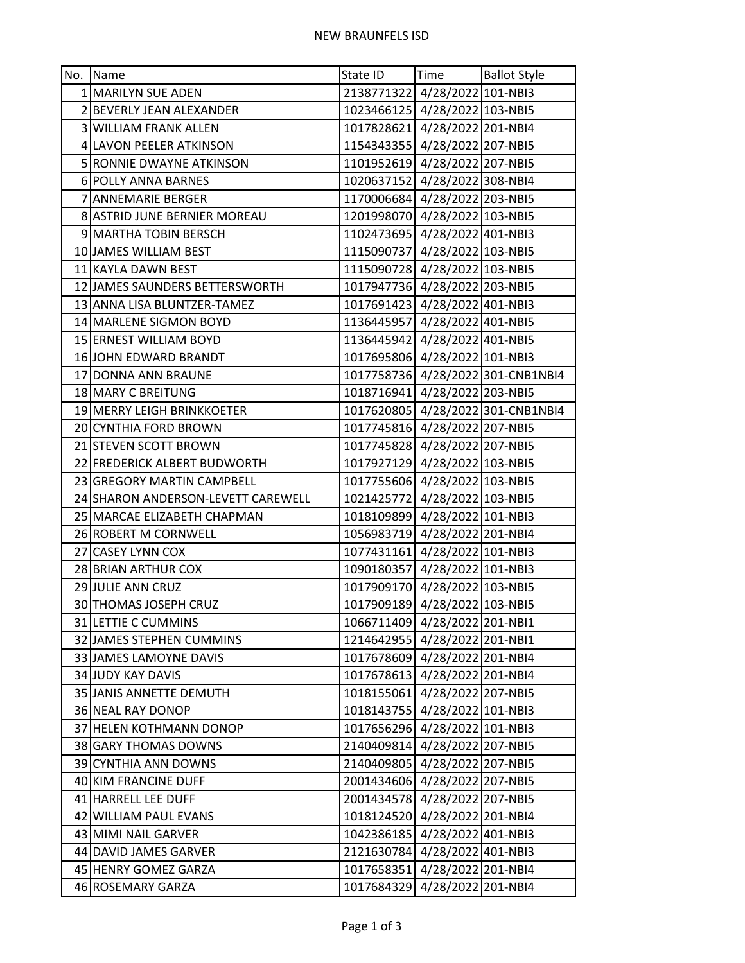| No. Name                           | State ID                      | <b>Time</b>                   | <b>Ballot Style</b>               |
|------------------------------------|-------------------------------|-------------------------------|-----------------------------------|
| 1   MARILYN SUE ADEN               | 2138771322 4/28/2022 101-NBI3 |                               |                                   |
| 2 BEVERLY JEAN ALEXANDER           | 1023466125 4/28/2022 103-NBI5 |                               |                                   |
| <b>3 WILLIAM FRANK ALLEN</b>       | 1017828621 4/28/2022 201-NBI4 |                               |                                   |
| 4 LAVON PEELER ATKINSON            | 1154343355 4/28/2022 207-NBI5 |                               |                                   |
| 5 RONNIE DWAYNE ATKINSON           | 1101952619 4/28/2022 207-NBI5 |                               |                                   |
| 6 POLLY ANNA BARNES                | 1020637152 4/28/2022 308-NBI4 |                               |                                   |
| 7 ANNEMARIE BERGER                 | 1170006684 4/28/2022 203-NBI5 |                               |                                   |
| 8 ASTRID JUNE BERNIER MOREAU       | 1201998070 4/28/2022 103-NBI5 |                               |                                   |
| 9 MARTHA TOBIN BERSCH              | 1102473695 4/28/2022 401-NBI3 |                               |                                   |
| 10 JAMES WILLIAM BEST              | 1115090737 4/28/2022 103-NBI5 |                               |                                   |
| 11 KAYLA DAWN BEST                 | 1115090728 4/28/2022 103-NBI5 |                               |                                   |
| 12 JAMES SAUNDERS BETTERSWORTH     | 1017947736 4/28/2022 203-NBI5 |                               |                                   |
| 13 ANNA LISA BLUNTZER-TAMEZ        | 1017691423 4/28/2022 401-NBI3 |                               |                                   |
| 14 MARLENE SIGMON BOYD             | 1136445957 4/28/2022 401-NBI5 |                               |                                   |
| 15 ERNEST WILLIAM BOYD             | 1136445942 4/28/2022 401-NBI5 |                               |                                   |
| 16 JOHN EDWARD BRANDT              | 1017695806 4/28/2022 101-NBI3 |                               |                                   |
| 17 DONNA ANN BRAUNE                |                               |                               | 1017758736 4/28/2022 301-CNB1NBI4 |
| 18 MARY C BREITUNG                 | 1018716941 4/28/2022 203-NBI5 |                               |                                   |
| 19 MERRY LEIGH BRINKKOETER         |                               |                               | 1017620805 4/28/2022 301-CNB1NBI4 |
| 20 CYNTHIA FORD BROWN              | 1017745816 4/28/2022 207-NBI5 |                               |                                   |
| 21 STEVEN SCOTT BROWN              | 1017745828 4/28/2022 207-NBI5 |                               |                                   |
| 22 FREDERICK ALBERT BUDWORTH       | 1017927129 4/28/2022 103-NBI5 |                               |                                   |
| 23 GREGORY MARTIN CAMPBELL         | 1017755606 4/28/2022 103-NBI5 |                               |                                   |
| 24 SHARON ANDERSON-LEVETT CAREWELL | 1021425772 4/28/2022 103-NBI5 |                               |                                   |
| 25 MARCAE ELIZABETH CHAPMAN        | 1018109899 4/28/2022 101-NBI3 |                               |                                   |
| 26 ROBERT M CORNWELL               | 1056983719 4/28/2022 201-NBI4 |                               |                                   |
| 27 CASEY LYNN COX                  | 1077431161 4/28/2022 101-NBI3 |                               |                                   |
| 28 BRIAN ARTHUR COX                | 1090180357 4/28/2022 101-NBI3 |                               |                                   |
| 29 JULIE ANN CRUZ                  | 1017909170 4/28/2022 103-NBI5 |                               |                                   |
| 30 THOMAS JOSEPH CRUZ              | 1017909189 4/28/2022 103-NBI5 |                               |                                   |
| 31 LETTIE C CUMMINS                | 1066711409 4/28/2022 201-NBI1 |                               |                                   |
| 32 JAMES STEPHEN CUMMINS           | 1214642955 4/28/2022 201-NBI1 |                               |                                   |
| 33 JAMES LAMOYNE DAVIS             | 1017678609 4/28/2022 201-NBI4 |                               |                                   |
| 34 JUDY KAY DAVIS                  | 1017678613 4/28/2022 201-NBI4 |                               |                                   |
| 35 JANIS ANNETTE DEMUTH            | 1018155061 4/28/2022 207-NBI5 |                               |                                   |
| 36 NEAL RAY DONOP                  | 1018143755 4/28/2022 101-NBI3 |                               |                                   |
| 37 HELEN KOTHMANN DONOP            | 1017656296 4/28/2022 101-NBI3 |                               |                                   |
| 38 GARY THOMAS DOWNS               | 2140409814 4/28/2022 207-NBI5 |                               |                                   |
| 39 CYNTHIA ANN DOWNS               | 2140409805 4/28/2022 207-NBI5 |                               |                                   |
| 40 KIM FRANCINE DUFF               | 2001434606 4/28/2022 207-NBI5 |                               |                                   |
| 41 HARRELL LEE DUFF                | 2001434578 4/28/2022 207-NBI5 |                               |                                   |
| 42 WILLIAM PAUL EVANS              | 1018124520 4/28/2022 201-NBI4 |                               |                                   |
| 43 MIMI NAIL GARVER                | 1042386185 4/28/2022 401-NBI3 |                               |                                   |
| 44 DAVID JAMES GARVER              | 2121630784 4/28/2022 401-NBI3 |                               |                                   |
| 45 HENRY GOMEZ GARZA               | 1017658351 4/28/2022 201-NBI4 |                               |                                   |
| 46 ROSEMARY GARZA                  |                               | 1017684329 4/28/2022 201-NBI4 |                                   |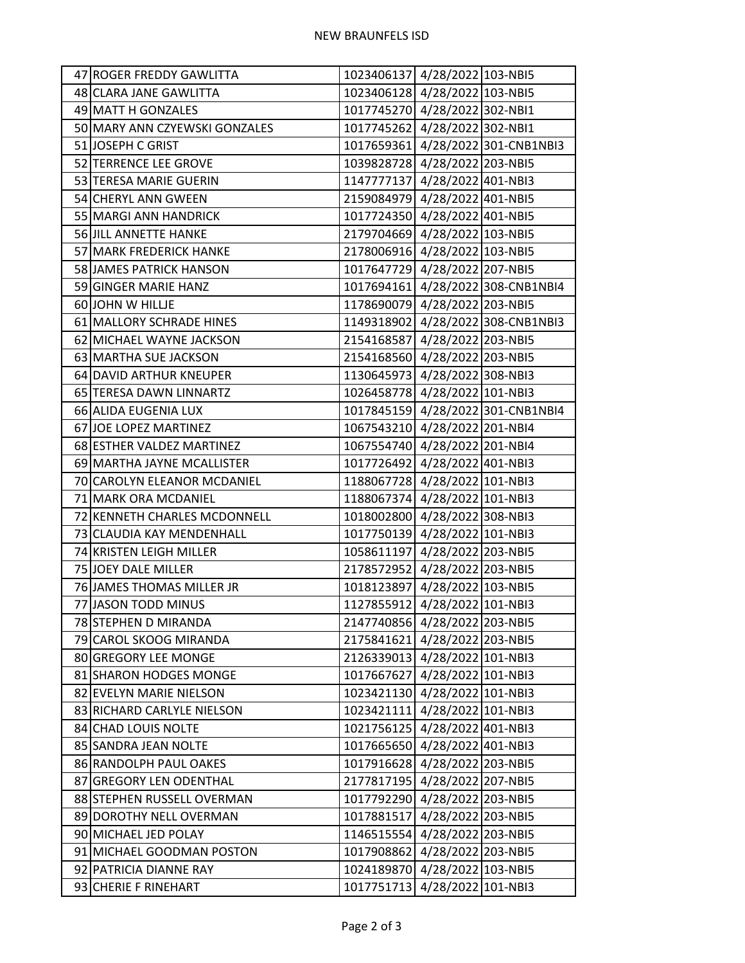| 47 ROGER FREDDY GAWLITTA      | 1023406137 4/28/2022 103-NBI5 |                                   |
|-------------------------------|-------------------------------|-----------------------------------|
| 48 CLARA JANE GAWLITTA        | 1023406128 4/28/2022 103-NBI5 |                                   |
| 49 MATT H GONZALES            | 1017745270 4/28/2022 302-NBI1 |                                   |
| 50 MARY ANN CZYEWSKI GONZALES | 1017745262 4/28/2022 302-NBI1 |                                   |
| 51 JOSEPH C GRIST             |                               | 1017659361 4/28/2022 301-CNB1NBI3 |
| 52 TERRENCE LEE GROVE         | 1039828728 4/28/2022 203-NBI5 |                                   |
| 53 TERESA MARIE GUERIN        | 1147777137 4/28/2022 401-NBI3 |                                   |
| 54 CHERYL ANN GWEEN           | 2159084979 4/28/2022 401-NBI5 |                                   |
| 55 MARGI ANN HANDRICK         | 1017724350 4/28/2022 401-NBI5 |                                   |
| 56 JILL ANNETTE HANKE         | 2179704669 4/28/2022 103-NBI5 |                                   |
| 57 MARK FREDERICK HANKE       | 2178006916 4/28/2022 103-NBI5 |                                   |
| 58 JAMES PATRICK HANSON       | 1017647729 4/28/2022 207-NBI5 |                                   |
| 59 GINGER MARIE HANZ          |                               | 1017694161 4/28/2022 308-CNB1NBI4 |
| 60 JOHN W HILLJE              | 1178690079 4/28/2022 203-NBI5 |                                   |
| 61 MALLORY SCHRADE HINES      |                               | 1149318902 4/28/2022 308-CNB1NBI3 |
| 62 MICHAEL WAYNE JACKSON      | 2154168587 4/28/2022 203-NBI5 |                                   |
| 63 MARTHA SUE JACKSON         | 2154168560 4/28/2022 203-NBI5 |                                   |
| 64 DAVID ARTHUR KNEUPER       | 1130645973 4/28/2022 308-NBI3 |                                   |
| 65 TERESA DAWN LINNARTZ       | 1026458778 4/28/2022 101-NBI3 |                                   |
| 66 ALIDA EUGENIA LUX          |                               | 1017845159 4/28/2022 301-CNB1NBI4 |
| 67 JOE LOPEZ MARTINEZ         | 1067543210 4/28/2022 201-NBI4 |                                   |
| 68 ESTHER VALDEZ MARTINEZ     | 1067554740 4/28/2022 201-NBI4 |                                   |
| 69 MARTHA JAYNE MCALLISTER    | 1017726492 4/28/2022 401-NBI3 |                                   |
| 70 CAROLYN ELEANOR MCDANIEL   | 1188067728 4/28/2022 101-NBI3 |                                   |
| 71 MARK ORA MCDANIEL          | 1188067374 4/28/2022 101-NBI3 |                                   |
| 72 KENNETH CHARLES MCDONNELL  | 1018002800 4/28/2022 308-NBI3 |                                   |
| 73 CLAUDIA KAY MENDENHALL     | 1017750139 4/28/2022 101-NBI3 |                                   |
| 74 KRISTEN LEIGH MILLER       | 1058611197 4/28/2022 203-NBI5 |                                   |
| 75 JOEY DALE MILLER           | 2178572952 4/28/2022 203-NBI5 |                                   |
| 76 JAMES THOMAS MILLER JR     | 1018123897 4/28/2022 103-NBI5 |                                   |
| 77 JASON TODD MINUS           | 1127855912 4/28/2022 101-NBI3 |                                   |
| 78 STEPHEN D MIRANDA          | 2147740856 4/28/2022 203-NBI5 |                                   |
| 79 CAROL SKOOG MIRANDA        | 2175841621 4/28/2022 203-NBI5 |                                   |
| 80 GREGORY LEE MONGE          | 2126339013 4/28/2022 101-NBI3 |                                   |
| 81 SHARON HODGES MONGE        | 1017667627 4/28/2022 101-NBI3 |                                   |
| 82 EVELYN MARIE NIELSON       | 1023421130 4/28/2022 101-NBI3 |                                   |
| 83 RICHARD CARLYLE NIELSON    | 1023421111 4/28/2022 101-NBI3 |                                   |
| 84 CHAD LOUIS NOLTE           | 1021756125 4/28/2022 401-NBI3 |                                   |
| 85 SANDRA JEAN NOLTE          | 1017665650 4/28/2022 401-NBI3 |                                   |
| 86 RANDOLPH PAUL OAKES        | 1017916628 4/28/2022 203-NBI5 |                                   |
| 87 GREGORY LEN ODENTHAL       | 2177817195 4/28/2022 207-NBI5 |                                   |
| 88 STEPHEN RUSSELL OVERMAN    | 1017792290 4/28/2022 203-NBI5 |                                   |
| 89 DOROTHY NELL OVERMAN       | 1017881517 4/28/2022 203-NBI5 |                                   |
| 90 MICHAEL JED POLAY          | 1146515554 4/28/2022 203-NBI5 |                                   |
| 91 MICHAEL GOODMAN POSTON     | 1017908862 4/28/2022 203-NBI5 |                                   |
| 92 PATRICIA DIANNE RAY        | 1024189870 4/28/2022 103-NBI5 |                                   |
| 93 CHERIE F RINEHART          | 1017751713 4/28/2022 101-NBI3 |                                   |